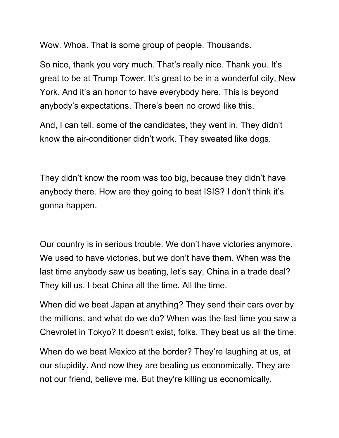Wow. Whoa. That is some group of people. Thousands.

So nice, thank you very much. That's really nice. Thank you. It's great to be at Trump Tower. It's great to be in a wonderful city, New York. And it's an honor to have everybody here. This is beyond anybody's expectations. There's been no crowd like this.

And, I can tell, some of the candidates, they went in. They didn't know the air-conditioner didn't work. They sweated like dogs.

They didn't know the room was too big, because they didn't have anybody there. How are they going to beat ISIS? I don't think it's gonna happen.

Our country is in serious trouble. We don't have victories anymore. We used to have victories, but we don't have them. When was the last time anybody saw us beating, let's say, China in a trade deal? They kill us. I beat China all the time. All the time.

When did we beat Japan at anything? They send their cars over by the millions, and what do we do? When was the last time you saw a Chevrolet in Tokyo? It doesn't exist, folks. They beat us all the time.

When do we beat Mexico at the border? They're laughing at us, at our stupidity. And now they are beating us economically. They are not our friend, believe me. But they're killing us economically.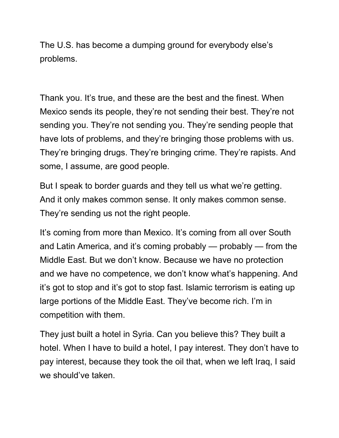The U.S. has become a dumping ground for everybody else's problems.

Thank you. It's true, and these are the best and the finest. When Mexico sends its people, they're not sending their best. They're not sending you. They're not sending you. They're sending people that have lots of problems, and they're bringing those problems with us. They're bringing drugs. They're bringing crime. They're rapists. And some, I assume, are good people.

But I speak to border guards and they tell us what we're getting. And it only makes common sense. It only makes common sense. They're sending us not the right people.

It's coming from more than Mexico. It's coming from all over South and Latin America, and it's coming probably — probably — from the Middle East. But we don't know. Because we have no protection and we have no competence, we don't know what's happening. And it's got to stop and it's got to stop fast. Islamic terrorism is eating up large portions of the Middle East. They've become rich. I'm in competition with them.

They just built a hotel in Syria. Can you believe this? They built a hotel. When I have to build a hotel, I pay interest. They don't have to pay interest, because they took the oil that, when we left Iraq, I said we should've taken.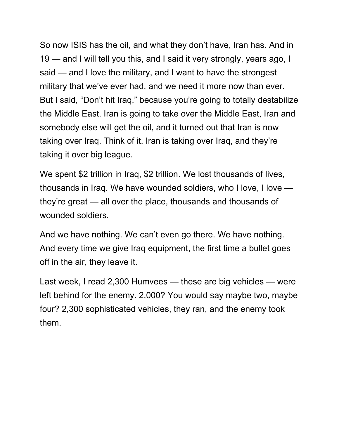So now ISIS has the oil, and what they don't have, Iran has. And in 19 — and I will tell you this, and I said it very strongly, years ago, I said — and I love the military, and I want to have the strongest military that we've ever had, and we need it more now than ever. But I said, "Don't hit Iraq," because you're going to totally destabilize the Middle East. Iran is going to take over the Middle East, Iran and somebody else will get the oil, and it turned out that Iran is now taking over Iraq. Think of it. Iran is taking over Iraq, and they're taking it over big league.

We spent \$2 trillion in Iraq, \$2 trillion. We lost thousands of lives, thousands in Iraq. We have wounded soldiers, who I love, I love they're great — all over the place, thousands and thousands of wounded soldiers.

And we have nothing. We can't even go there. We have nothing. And every time we give Iraq equipment, the first time a bullet goes off in the air, they leave it.

Last week, I read 2,300 Humvees — these are big vehicles — were left behind for the enemy. 2,000? You would say maybe two, maybe four? 2,300 sophisticated vehicles, they ran, and the enemy took them.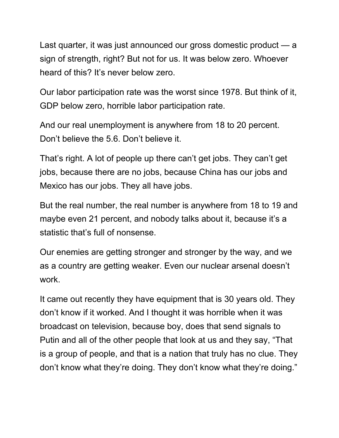Last quarter, it was just announced our gross domestic product — a sign of strength, right? But not for us. It was below zero. Whoever heard of this? It's never below zero.

Our labor participation rate was the worst since 1978. But think of it, GDP below zero, horrible labor participation rate.

And our real unemployment is anywhere from 18 to 20 percent. Don't believe the 5.6. Don't believe it.

That's right. A lot of people up there can't get jobs. They can't get jobs, because there are no jobs, because China has our jobs and Mexico has our jobs. They all have jobs.

But the real number, the real number is anywhere from 18 to 19 and maybe even 21 percent, and nobody talks about it, because it's a statistic that's full of nonsense.

Our enemies are getting stronger and stronger by the way, and we as a country are getting weaker. Even our nuclear arsenal doesn't work.

It came out recently they have equipment that is 30 years old. They don't know if it worked. And I thought it was horrible when it was broadcast on television, because boy, does that send signals to Putin and all of the other people that look at us and they say, "That is a group of people, and that is a nation that truly has no clue. They don't know what they're doing. They don't know what they're doing."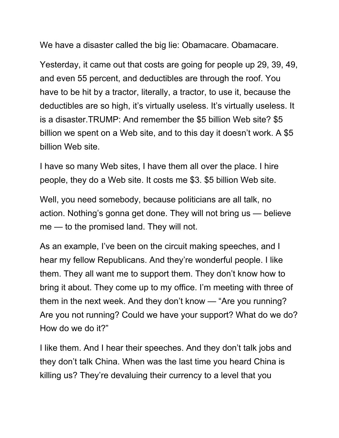We have a disaster called the big lie: Obamacare. Obamacare.

Yesterday, it came out that costs are going for people up 29, 39, 49, and even 55 percent, and deductibles are through the roof. You have to be hit by a tractor, literally, a tractor, to use it, because the deductibles are so high, it's virtually useless. It's virtually useless. It is a disaster.TRUMP: And remember the \$5 billion Web site? \$5 billion we spent on a Web site, and to this day it doesn't work. A \$5 billion Web site.

I have so many Web sites, I have them all over the place. I hire people, they do a Web site. It costs me \$3. \$5 billion Web site.

Well, you need somebody, because politicians are all talk, no action. Nothing's gonna get done. They will not bring us — believe me — to the promised land. They will not.

As an example, I've been on the circuit making speeches, and I hear my fellow Republicans. And they're wonderful people. I like them. They all want me to support them. They don't know how to bring it about. They come up to my office. I'm meeting with three of them in the next week. And they don't know — "Are you running? Are you not running? Could we have your support? What do we do? How do we do it?"

I like them. And I hear their speeches. And they don't talk jobs and they don't talk China. When was the last time you heard China is killing us? They're devaluing their currency to a level that you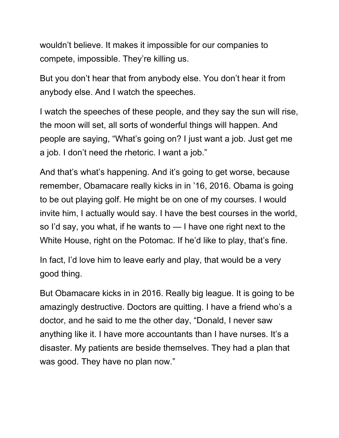wouldn't believe. It makes it impossible for our companies to compete, impossible. They're killing us.

But you don't hear that from anybody else. You don't hear it from anybody else. And I watch the speeches.

I watch the speeches of these people, and they say the sun will rise, the moon will set, all sorts of wonderful things will happen. And people are saying, "What's going on? I just want a job. Just get me a job. I don't need the rhetoric. I want a job."

And that's what's happening. And it's going to get worse, because remember, Obamacare really kicks in in '16, 2016. Obama is going to be out playing golf. He might be on one of my courses. I would invite him, I actually would say. I have the best courses in the world, so I'd say, you what, if he wants to — I have one right next to the White House, right on the Potomac. If he'd like to play, that's fine.

In fact, I'd love him to leave early and play, that would be a very good thing.

But Obamacare kicks in in 2016. Really big league. It is going to be amazingly destructive. Doctors are quitting. I have a friend who's a doctor, and he said to me the other day, "Donald, I never saw anything like it. I have more accountants than I have nurses. It's a disaster. My patients are beside themselves. They had a plan that was good. They have no plan now."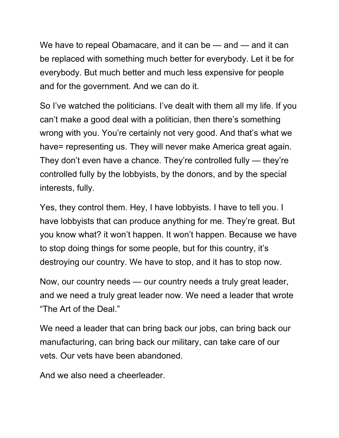We have to repeal Obamacare, and it can be — and — and it can be replaced with something much better for everybody. Let it be for everybody. But much better and much less expensive for people and for the government. And we can do it.

So I've watched the politicians. I've dealt with them all my life. If you can't make a good deal with a politician, then there's something wrong with you. You're certainly not very good. And that's what we have= representing us. They will never make America great again. They don't even have a chance. They're controlled fully — they're controlled fully by the lobbyists, by the donors, and by the special interests, fully.

Yes, they control them. Hey, I have lobbyists. I have to tell you. I have lobbyists that can produce anything for me. They're great. But you know what? it won't happen. It won't happen. Because we have to stop doing things for some people, but for this country, it's destroying our country. We have to stop, and it has to stop now.

Now, our country needs — our country needs a truly great leader, and we need a truly great leader now. We need a leader that wrote "The Art of the Deal."

We need a leader that can bring back our jobs, can bring back our manufacturing, can bring back our military, can take care of our vets. Our vets have been abandoned.

And we also need a cheerleader.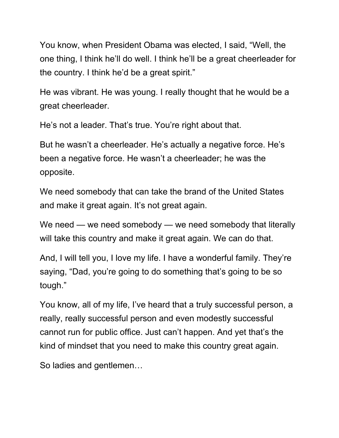You know, when President Obama was elected, I said, "Well, the one thing, I think he'll do well. I think he'll be a great cheerleader for the country. I think he'd be a great spirit."

He was vibrant. He was young. I really thought that he would be a great cheerleader.

He's not a leader. That's true. You're right about that.

But he wasn't a cheerleader. He's actually a negative force. He's been a negative force. He wasn't a cheerleader; he was the opposite.

We need somebody that can take the brand of the United States and make it great again. It's not great again.

We need — we need somebody — we need somebody that literally will take this country and make it great again. We can do that.

And, I will tell you, I love my life. I have a wonderful family. They're saying, "Dad, you're going to do something that's going to be so tough."

You know, all of my life, I've heard that a truly successful person, a really, really successful person and even modestly successful cannot run for public office. Just can't happen. And yet that's the kind of mindset that you need to make this country great again.

So ladies and gentlemen…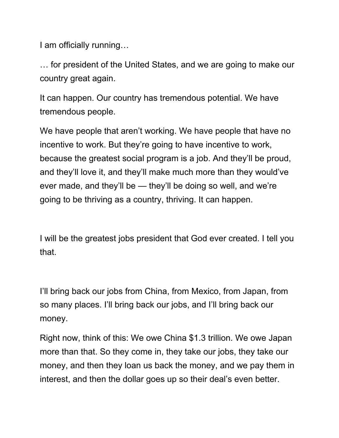I am officially running…

… for president of the United States, and we are going to make our country great again.

It can happen. Our country has tremendous potential. We have tremendous people.

We have people that aren't working. We have people that have no incentive to work. But they're going to have incentive to work, because the greatest social program is a job. And they'll be proud, and they'll love it, and they'll make much more than they would've ever made, and they'll be — they'll be doing so well, and we're going to be thriving as a country, thriving. It can happen.

I will be the greatest jobs president that God ever created. I tell you that.

I'll bring back our jobs from China, from Mexico, from Japan, from so many places. I'll bring back our jobs, and I'll bring back our money.

Right now, think of this: We owe China \$1.3 trillion. We owe Japan more than that. So they come in, they take our jobs, they take our money, and then they loan us back the money, and we pay them in interest, and then the dollar goes up so their deal's even better.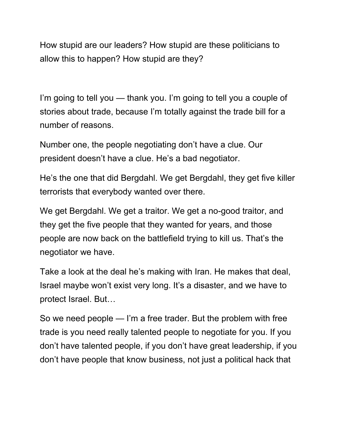How stupid are our leaders? How stupid are these politicians to allow this to happen? How stupid are they?

I'm going to tell you — thank you. I'm going to tell you a couple of stories about trade, because I'm totally against the trade bill for a number of reasons.

Number one, the people negotiating don't have a clue. Our president doesn't have a clue. He's a bad negotiator.

He's the one that did Bergdahl. We get Bergdahl, they get five killer terrorists that everybody wanted over there.

We get Bergdahl. We get a traitor. We get a no-good traitor, and they get the five people that they wanted for years, and those people are now back on the battlefield trying to kill us. That's the negotiator we have.

Take a look at the deal he's making with Iran. He makes that deal, Israel maybe won't exist very long. It's a disaster, and we have to protect Israel. But…

So we need people — I'm a free trader. But the problem with free trade is you need really talented people to negotiate for you. If you don't have talented people, if you don't have great leadership, if you don't have people that know business, not just a political hack that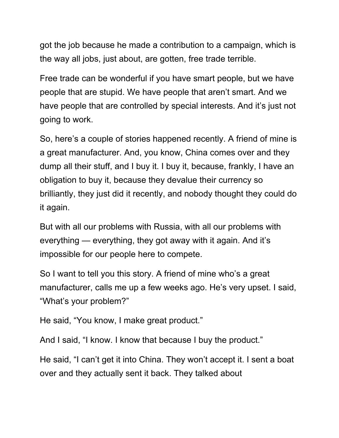got the job because he made a contribution to a campaign, which is the way all jobs, just about, are gotten, free trade terrible.

Free trade can be wonderful if you have smart people, but we have people that are stupid. We have people that aren't smart. And we have people that are controlled by special interests. And it's just not going to work.

So, here's a couple of stories happened recently. A friend of mine is a great manufacturer. And, you know, China comes over and they dump all their stuff, and I buy it. I buy it, because, frankly, I have an obligation to buy it, because they devalue their currency so brilliantly, they just did it recently, and nobody thought they could do it again.

But with all our problems with Russia, with all our problems with everything — everything, they got away with it again. And it's impossible for our people here to compete.

So I want to tell you this story. A friend of mine who's a great manufacturer, calls me up a few weeks ago. He's very upset. I said, "What's your problem?"

He said, "You know, I make great product."

And I said, "I know. I know that because I buy the product."

He said, "I can't get it into China. They won't accept it. I sent a boat over and they actually sent it back. They talked about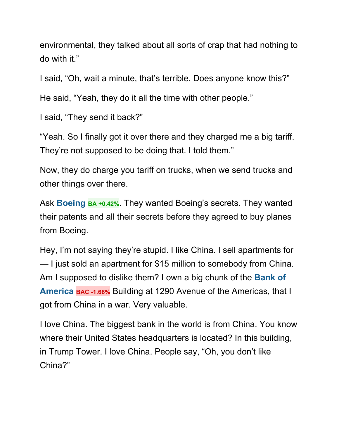environmental, they talked about all sorts of crap that had nothing to do with it."

I said, "Oh, wait a minute, that's terrible. Does anyone know this?"

He said, "Yeah, they do it all the time with other people."

I said, "They send it back?"

"Yeah. So I finally got it over there and they charged me a big tariff. They're not supposed to be doing that. I told them."

Now, they do charge you tariff on trucks, when we send trucks and other things over there.

Ask **BoeingBA +0.42%**. They wanted Boeing's secrets. They wanted their patents and all their secrets before they agreed to buy planes from Boeing.

Hey, I'm not saying they're stupid. I like China. I sell apartments for — I just sold an apartment for \$15 million to somebody from China. Am I supposed to dislike them? I own a big chunk of the **Bank of AmericaBAC 1.66%**Building at 1290 Avenue of the Americas, that I got from China in a war. Very valuable.

I love China. The biggest bank in the world is from China. You know where their United States headquarters is located? In this building, in Trump Tower. I love China. People say, "Oh, you don't like China?"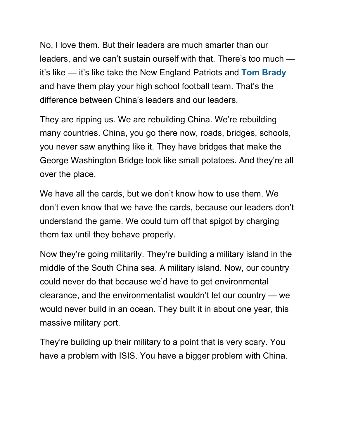No, I love them. But their leaders are much smarter than our leaders, and we can't sustain ourself with that. There's too much it's like — it's like take the New England Patriots and **Tom Brady** and have them play your high school football team. That's the difference between China's leaders and our leaders.

They are ripping us. We are rebuilding China. We're rebuilding many countries. China, you go there now, roads, bridges, schools, you never saw anything like it. They have bridges that make the George Washington Bridge look like small potatoes. And they're all over the place.

We have all the cards, but we don't know how to use them. We don't even know that we have the cards, because our leaders don't understand the game. We could turn off that spigot by charging them tax until they behave properly.

Now they're going militarily. They're building a military island in the middle of the South China sea. A military island. Now, our country could never do that because we'd have to get environmental clearance, and the environmentalist wouldn't let our country — we would never build in an ocean. They built it in about one year, this massive military port.

They're building up their military to a point that is very scary. You have a problem with ISIS. You have a bigger problem with China.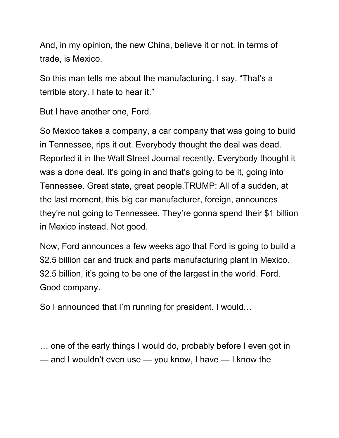And, in my opinion, the new China, believe it or not, in terms of trade, is Mexico.

So this man tells me about the manufacturing. I say, "That's a terrible story. I hate to hear it."

But I have another one, Ford.

So Mexico takes a company, a car company that was going to build in Tennessee, rips it out. Everybody thought the deal was dead. Reported it in the Wall Street Journal recently. Everybody thought it was a done deal. It's going in and that's going to be it, going into Tennessee. Great state, great people.TRUMP: All of a sudden, at the last moment, this big car manufacturer, foreign, announces they're not going to Tennessee. They're gonna spend their \$1 billion in Mexico instead. Not good.

Now, Ford announces a few weeks ago that Ford is going to build a \$2.5 billion car and truck and parts manufacturing plant in Mexico. \$2.5 billion, it's going to be one of the largest in the world. Ford. Good company.

So I announced that I'm running for president. I would…

… one of the early things I would do, probably before I even got in — and I wouldn't even use — you know, I have — I know the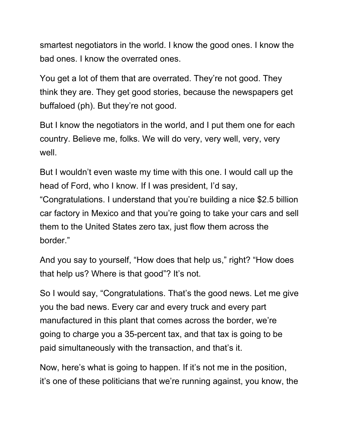smartest negotiators in the world. I know the good ones. I know the bad ones. I know the overrated ones.

You get a lot of them that are overrated. They're not good. They think they are. They get good stories, because the newspapers get buffaloed (ph). But they're not good.

But I know the negotiators in the world, and I put them one for each country. Believe me, folks. We will do very, very well, very, very well.

But I wouldn't even waste my time with this one. I would call up the head of Ford, who I know. If I was president, I'd say, "Congratulations. I understand that you're building a nice \$2.5 billion car factory in Mexico and that you're going to take your cars and sell them to the United States zero tax, just flow them across the border."

And you say to yourself, "How does that help us," right? "How does that help us? Where is that good"? It's not.

So I would say, "Congratulations. That's the good news. Let me give you the bad news. Every car and every truck and every part manufactured in this plant that comes across the border, we're going to charge you a 35-percent tax, and that tax is going to be paid simultaneously with the transaction, and that's it.

Now, here's what is going to happen. If it's not me in the position, it's one of these politicians that we're running against, you know, the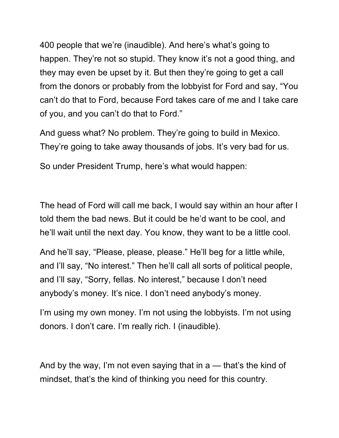400 people that we're (inaudible). And here's what's going to happen. They're not so stupid. They know it's not a good thing, and they may even be upset by it. But then they're going to get a call from the donors or probably from the lobbyist for Ford and say, "You can't do that to Ford, because Ford takes care of me and I take care of you, and you can't do that to Ford."

And guess what? No problem. They're going to build in Mexico. They're going to take away thousands of jobs. It's very bad for us.

So under President Trump, here's what would happen:

The head of Ford will call me back, I would say within an hour after I told them the bad news. But it could be he'd want to be cool, and he'll wait until the next day. You know, they want to be a little cool.

And he'll say, "Please, please, please." He'll beg for a little while, and I'll say, "No interest." Then he'll call all sorts of political people, and I'll say, "Sorry, fellas. No interest," because I don't need anybody's money. It's nice. I don't need anybody's money.

I'm using my own money. I'm not using the lobbyists. I'm not using donors. I don't care. I'm really rich. I (inaudible).

And by the way, I'm not even saying that in  $a$  — that's the kind of mindset, that's the kind of thinking you need for this country.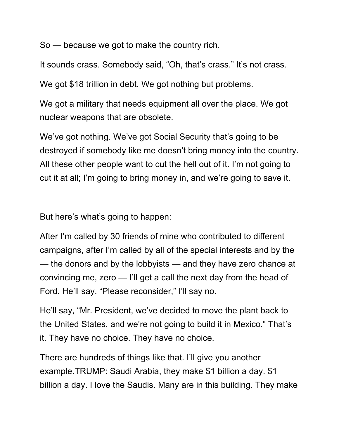So — because we got to make the country rich.

It sounds crass. Somebody said, "Oh, that's crass." It's not crass.

We got \$18 trillion in debt. We got nothing but problems.

We got a military that needs equipment all over the place. We got nuclear weapons that are obsolete.

We've got nothing. We've got Social Security that's going to be destroyed if somebody like me doesn't bring money into the country. All these other people want to cut the hell out of it. I'm not going to cut it at all; I'm going to bring money in, and we're going to save it.

But here's what's going to happen:

After I'm called by 30 friends of mine who contributed to different campaigns, after I'm called by all of the special interests and by the — the donors and by the lobbyists — and they have zero chance at convincing me, zero — I'll get a call the next day from the head of Ford. He'll say. "Please reconsider," I'll say no.

He'll say, "Mr. President, we've decided to move the plant back to the United States, and we're not going to build it in Mexico." That's it. They have no choice. They have no choice.

There are hundreds of things like that. I'll give you another example.TRUMP: Saudi Arabia, they make \$1 billion a day. \$1 billion a day. I love the Saudis. Many are in this building. They make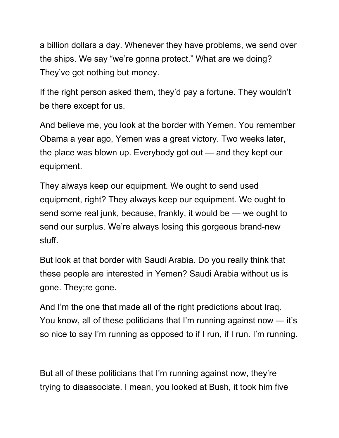a billion dollars a day. Whenever they have problems, we send over the ships. We say "we're gonna protect." What are we doing? They've got nothing but money.

If the right person asked them, they'd pay a fortune. They wouldn't be there except for us.

And believe me, you look at the border with Yemen. You remember Obama a year ago, Yemen was a great victory. Two weeks later, the place was blown up. Everybody got out — and they kept our equipment.

They always keep our equipment. We ought to send used equipment, right? They always keep our equipment. We ought to send some real junk, because, frankly, it would be — we ought to send our surplus. We're always losing this gorgeous brand-new stuff.

But look at that border with Saudi Arabia. Do you really think that these people are interested in Yemen? Saudi Arabia without us is gone. They;re gone.

And I'm the one that made all of the right predictions about Iraq. You know, all of these politicians that I'm running against now — it's so nice to say I'm running as opposed to if I run, if I run. I'm running.

But all of these politicians that I'm running against now, they're trying to disassociate. I mean, you looked at Bush, it took him five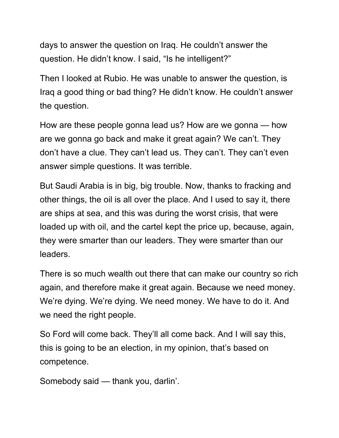days to answer the question on Iraq. He couldn't answer the question. He didn't know. I said, "Is he intelligent?"

Then I looked at Rubio. He was unable to answer the question, is Iraq a good thing or bad thing? He didn't know. He couldn't answer the question.

How are these people gonna lead us? How are we gonna — how are we gonna go back and make it great again? We can't. They don't have a clue. They can't lead us. They can't. They can't even answer simple questions. It was terrible.

But Saudi Arabia is in big, big trouble. Now, thanks to fracking and other things, the oil is all over the place. And I used to say it, there are ships at sea, and this was during the worst crisis, that were loaded up with oil, and the cartel kept the price up, because, again, they were smarter than our leaders. They were smarter than our leaders.

There is so much wealth out there that can make our country so rich again, and therefore make it great again. Because we need money. We're dying. We're dying. We need money. We have to do it. And we need the right people.

So Ford will come back. They'll all come back. And I will say this, this is going to be an election, in my opinion, that's based on competence.

Somebody said — thank you, darlin'.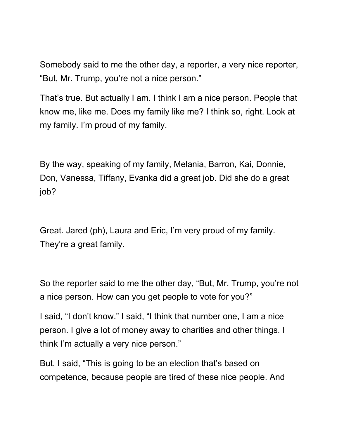Somebody said to me the other day, a reporter, a very nice reporter, "But, Mr. Trump, you're not a nice person."

That's true. But actually I am. I think I am a nice person. People that know me, like me. Does my family like me? I think so, right. Look at my family. I'm proud of my family.

By the way, speaking of my family, Melania, Barron, Kai, Donnie, Don, Vanessa, Tiffany, Evanka did a great job. Did she do a great job?

Great. Jared (ph), Laura and Eric, I'm very proud of my family. They're a great family.

So the reporter said to me the other day, "But, Mr. Trump, you're not a nice person. How can you get people to vote for you?"

I said, "I don't know." I said, "I think that number one, I am a nice person. I give a lot of money away to charities and other things. I think I'm actually a very nice person."

But, I said, "This is going to be an election that's based on competence, because people are tired of these nice people. And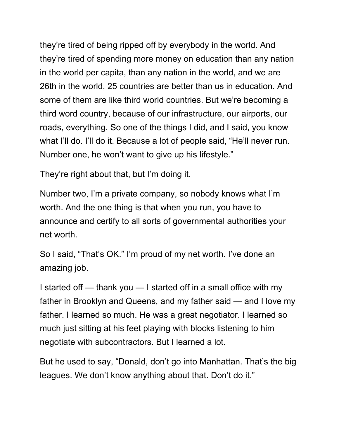they're tired of being ripped off by everybody in the world. And they're tired of spending more money on education than any nation in the world per capita, than any nation in the world, and we are 26th in the world, 25 countries are better than us in education. And some of them are like third world countries. But we're becoming a third word country, because of our infrastructure, our airports, our roads, everything. So one of the things I did, and I said, you know what I'll do. I'll do it. Because a lot of people said, "He'll never run. Number one, he won't want to give up his lifestyle."

They're right about that, but I'm doing it.

Number two, I'm a private company, so nobody knows what I'm worth. And the one thing is that when you run, you have to announce and certify to all sorts of governmental authorities your net worth.

So I said, "That's OK." I'm proud of my net worth. I've done an amazing job.

I started off — thank you — I started off in a small office with my father in Brooklyn and Queens, and my father said — and I love my father. I learned so much. He was a great negotiator. I learned so much just sitting at his feet playing with blocks listening to him negotiate with subcontractors. But I learned a lot.

But he used to say, "Donald, don't go into Manhattan. That's the big leagues. We don't know anything about that. Don't do it."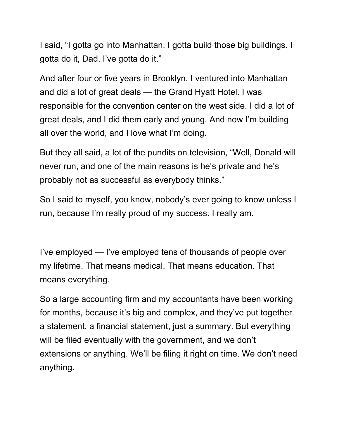I said, "I gotta go into Manhattan. I gotta build those big buildings. I gotta do it, Dad. I've gotta do it."

And after four or five years in Brooklyn, I ventured into Manhattan and did a lot of great deals — the Grand Hyatt Hotel. I was responsible for the convention center on the west side. I did a lot of great deals, and I did them early and young. And now I'm building all over the world, and I love what I'm doing.

But they all said, a lot of the pundits on television, "Well, Donald will never run, and one of the main reasons is he's private and he's probably not as successful as everybody thinks."

So I said to myself, you know, nobody's ever going to know unless I run, because I'm really proud of my success. I really am.

I've employed — I've employed tens of thousands of people over my lifetime. That means medical. That means education. That means everything.

So a large accounting firm and my accountants have been working for months, because it's big and complex, and they've put together a statement, a financial statement, just a summary. But everything will be filed eventually with the government, and we don't extensions or anything. We'll be filing it right on time. We don't need anything.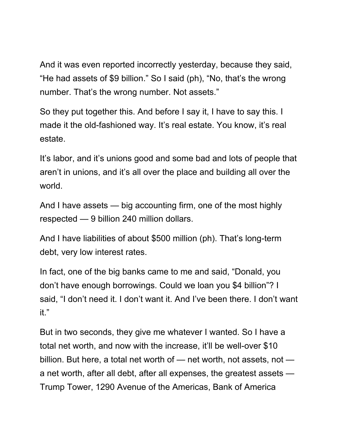And it was even reported incorrectly yesterday, because they said, "He had assets of \$9 billion." So I said (ph), "No, that's the wrong number. That's the wrong number. Not assets."

So they put together this. And before I say it, I have to say this. I made it the old-fashioned way. It's real estate. You know, it's real estate.

It's labor, and it's unions good and some bad and lots of people that aren't in unions, and it's all over the place and building all over the world.

And I have assets — big accounting firm, one of the most highly respected — 9 billion 240 million dollars.

And I have liabilities of about \$500 million (ph). That's long-term debt, very low interest rates.

In fact, one of the big banks came to me and said, "Donald, you don't have enough borrowings. Could we loan you \$4 billion"? I said, "I don't need it. I don't want it. And I've been there. I don't want it."

But in two seconds, they give me whatever I wanted. So I have a total net worth, and now with the increase, it'll be well-over \$10 billion. But here, a total net worth of — net worth, not assets, not a net worth, after all debt, after all expenses, the greatest assets — Trump Tower, 1290 Avenue of the Americas, Bank of America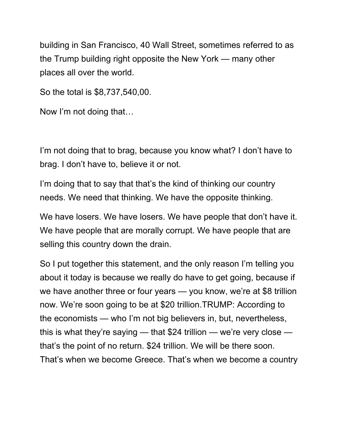building in San Francisco, 40 Wall Street, sometimes referred to as the Trump building right opposite the New York — many other places all over the world.

So the total is \$8,737,540,00.

Now I'm not doing that…

I'm not doing that to brag, because you know what? I don't have to brag. I don't have to, believe it or not.

I'm doing that to say that that's the kind of thinking our country needs. We need that thinking. We have the opposite thinking.

We have losers. We have losers. We have people that don't have it. We have people that are morally corrupt. We have people that are selling this country down the drain.

So I put together this statement, and the only reason I'm telling you about it today is because we really do have to get going, because if we have another three or four years — you know, we're at \$8 trillion now. We're soon going to be at \$20 trillion.TRUMP: According to the economists — who I'm not big believers in, but, nevertheless, this is what they're saying — that \$24 trillion — we're very close that's the point of no return. \$24 trillion. We will be there soon. That's when we become Greece. That's when we become a country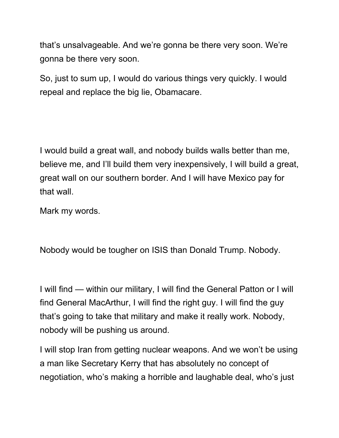that's unsalvageable. And we're gonna be there very soon. We're gonna be there very soon.

So, just to sum up, I would do various things very quickly. I would repeal and replace the big lie, Obamacare.

I would build a great wall, and nobody builds walls better than me, believe me, and I'll build them very inexpensively, I will build a great, great wall on our southern border. And I will have Mexico pay for that wall.

Mark my words.

Nobody would be tougher on ISIS than Donald Trump. Nobody.

I will find — within our military, I will find the General Patton or I will find General MacArthur, I will find the right guy. I will find the guy that's going to take that military and make it really work. Nobody, nobody will be pushing us around.

I will stop Iran from getting nuclear weapons. And we won't be using a man like Secretary Kerry that has absolutely no concept of negotiation, who's making a horrible and laughable deal, who's just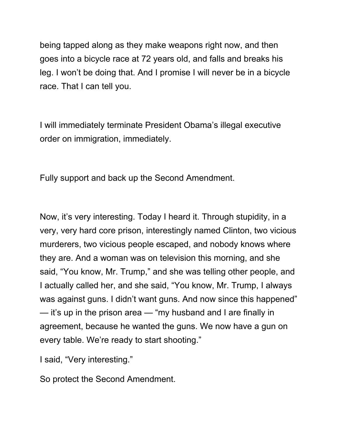being tapped along as they make weapons right now, and then goes into a bicycle race at 72 years old, and falls and breaks his leg. I won't be doing that. And I promise I will never be in a bicycle race. That I can tell you.

I will immediately terminate President Obama's illegal executive order on immigration, immediately.

Fully support and back up the Second Amendment.

Now, it's very interesting. Today I heard it. Through stupidity, in a very, very hard core prison, interestingly named Clinton, two vicious murderers, two vicious people escaped, and nobody knows where they are. And a woman was on television this morning, and she said, "You know, Mr. Trump," and she was telling other people, and I actually called her, and she said, "You know, Mr. Trump, I always was against guns. I didn't want guns. And now since this happened" — it's up in the prison area — "my husband and I are finally in agreement, because he wanted the guns. We now have a gun on every table. We're ready to start shooting."

I said, "Very interesting."

So protect the Second Amendment.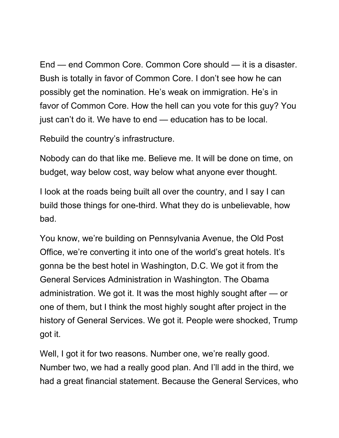End — end Common Core. Common Core should — it is a disaster. Bush is totally in favor of Common Core. I don't see how he can possibly get the nomination. He's weak on immigration. He's in favor of Common Core. How the hell can you vote for this guy? You just can't do it. We have to end — education has to be local.

Rebuild the country's infrastructure.

Nobody can do that like me. Believe me. It will be done on time, on budget, way below cost, way below what anyone ever thought.

I look at the roads being built all over the country, and I say I can build those things for one-third. What they do is unbelievable, how bad.

You know, we're building on Pennsylvania Avenue, the Old Post Office, we're converting it into one of the world's great hotels. It's gonna be the best hotel in Washington, D.C. We got it from the General Services Administration in Washington. The Obama administration. We got it. It was the most highly sought after — or one of them, but I think the most highly sought after project in the history of General Services. We got it. People were shocked, Trump got it.

Well, I got it for two reasons. Number one, we're really good. Number two, we had a really good plan. And I'll add in the third, we had a great financial statement. Because the General Services, who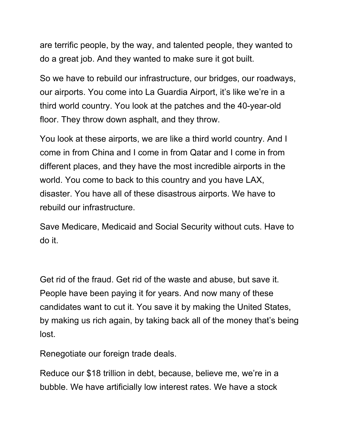are terrific people, by the way, and talented people, they wanted to do a great job. And they wanted to make sure it got built.

So we have to rebuild our infrastructure, our bridges, our roadways, our airports. You come into La Guardia Airport, it's like we're in a third world country. You look at the patches and the 40-year-old floor. They throw down asphalt, and they throw.

You look at these airports, we are like a third world country. And I come in from China and I come in from Qatar and I come in from different places, and they have the most incredible airports in the world. You come to back to this country and you have LAX, disaster. You have all of these disastrous airports. We have to rebuild our infrastructure.

Save Medicare, Medicaid and Social Security without cuts. Have to do it.

Get rid of the fraud. Get rid of the waste and abuse, but save it. People have been paying it for years. And now many of these candidates want to cut it. You save it by making the United States, by making us rich again, by taking back all of the money that's being lost.

Renegotiate our foreign trade deals.

Reduce our \$18 trillion in debt, because, believe me, we're in a bubble. We have artificially low interest rates. We have a stock